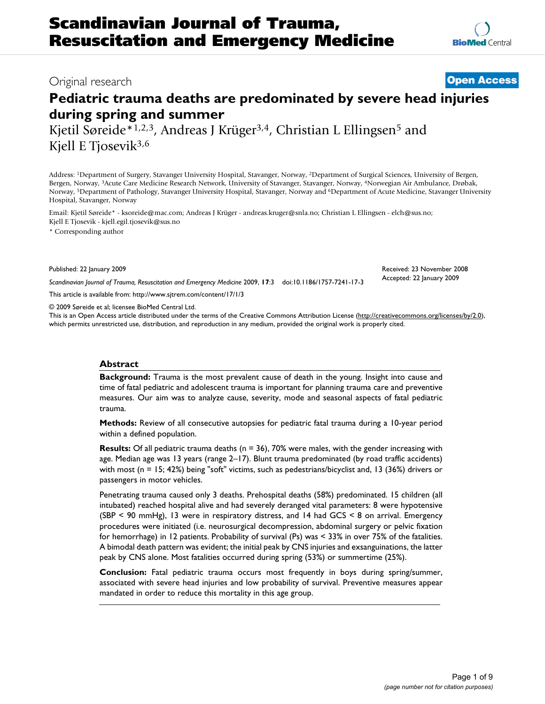**[BioMed](http://www.biomedcentral.com/)** Central

## Original research **[Open Access](http://www.biomedcentral.com/info/about/charter/)**

# **Pediatric trauma deaths are predominated by severe head injuries during spring and summer**

Kjetil Søreide\*<sup>1,2,3</sup>, Andreas J Krüger<sup>3,4</sup>, Christian L Ellingsen<sup>5</sup> and Kjell E Tjosevik3,6

Address: 1Department of Surgery, Stavanger University Hospital, Stavanger, Norway, 2Department of Surgical Sciences, University of Bergen, Bergen, Norway, 3Acute Care Medicine Research Network, University of Stavanger, Stavanger, Norway, 4Norwegian Air Ambulance, Drøbak, Norway, 5Department of Pathology, Stavanger University Hospital, Stavanger, Norway and 6Department of Acute Medicine, Stavanger University Hospital, Stavanger, Norway

Email: Kjetil Søreide\* - ksoreide@mac.com; Andreas J Krüger - andreas.kruger@snla.no; Christian L Ellingsen - elch@sus.no; Kjell E Tjosevik - kjell.egil.tjosevik@sus.no

\* Corresponding author

Published: 22 January 2009

*Scandinavian Journal of Trauma, Resuscitation and Emergency Medicine* 2009, **17**:3 doi:10.1186/1757-7241-17-3

[This article is available from: http://www.sjtrem.com/content/17/1/3](http://www.sjtrem.com/content/17/1/3)

© 2009 Søreide et al; licensee BioMed Central Ltd.

This is an Open Access article distributed under the terms of the Creative Commons Attribution License [\(http://creativecommons.org/licenses/by/2.0\)](http://creativecommons.org/licenses/by/2.0), which permits unrestricted use, distribution, and reproduction in any medium, provided the original work is properly cited.

## **Abstract**

**Background:** Trauma is the most prevalent cause of death in the young. Insight into cause and time of fatal pediatric and adolescent trauma is important for planning trauma care and preventive measures. Our aim was to analyze cause, severity, mode and seasonal aspects of fatal pediatric trauma.

**Methods:** Review of all consecutive autopsies for pediatric fatal trauma during a 10-year period within a defined population.

**Results:** Of all pediatric trauma deaths (n = 36), 70% were males, with the gender increasing with age. Median age was 13 years (range 2–17). Blunt trauma predominated (by road traffic accidents) with most (n = 15; 42%) being "soft" victims, such as pedestrians/bicyclist and, 13 (36%) drivers or passengers in motor vehicles.

Penetrating trauma caused only 3 deaths. Prehospital deaths (58%) predominated. 15 children (all intubated) reached hospital alive and had severely deranged vital parameters: 8 were hypotensive (SBP < 90 mmHg), 13 were in respiratory distress, and 14 had GCS < 8 on arrival. Emergency procedures were initiated (i.e. neurosurgical decompression, abdominal surgery or pelvic fixation for hemorrhage) in 12 patients. Probability of survival (Ps) was < 33% in over 75% of the fatalities. A bimodal death pattern was evident; the initial peak by CNS injuries and exsanguinations, the latter peak by CNS alone. Most fatalities occurred during spring (53%) or summertime (25%).

**Conclusion:** Fatal pediatric trauma occurs most frequently in boys during spring/summer, associated with severe head injuries and low probability of survival. Preventive measures appear mandated in order to reduce this mortality in this age group.

Received: 23 November 2008 Accepted: 22 January 2009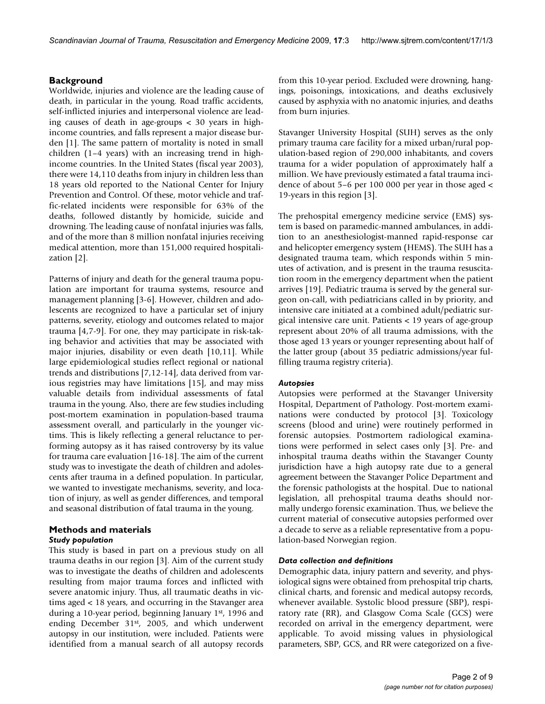## **Background**

Worldwide, injuries and violence are the leading cause of death, in particular in the young. Road traffic accidents, self-inflicted injuries and interpersonal violence are leading causes of death in age-groups < 30 years in highincome countries, and falls represent a major disease burden [1]. The same pattern of mortality is noted in small children (1–4 years) with an increasing trend in highincome countries. In the United States (fiscal year 2003), there were 14,110 deaths from injury in children less than 18 years old reported to the National Center for Injury Prevention and Control. Of these, motor vehicle and traffic-related incidents were responsible for 63% of the deaths, followed distantly by homicide, suicide and drowning. The leading cause of nonfatal injuries was falls, and of the more than 8 million nonfatal injuries receiving medical attention, more than 151,000 required hospitalization [2].

Patterns of injury and death for the general trauma population are important for trauma systems, resource and management planning [3-6]. However, children and adolescents are recognized to have a particular set of injury patterns, severity, etiology and outcomes related to major trauma [4,7-9]. For one, they may participate in risk-taking behavior and activities that may be associated with major injuries, disability or even death [10,11]. While large epidemiological studies reflect regional or national trends and distributions [7,12-14], data derived from various registries may have limitations [15], and may miss valuable details from individual assessments of fatal trauma in the young. Also, there are few studies including post-mortem examination in population-based trauma assessment overall, and particularly in the younger victims. This is likely reflecting a general reluctance to performing autopsy as it has raised controversy by its value for trauma care evaluation [16-18]. The aim of the current study was to investigate the death of children and adolescents after trauma in a defined population. In particular, we wanted to investigate mechanisms, severity, and location of injury, as well as gender differences, and temporal and seasonal distribution of fatal trauma in the young.

## **Methods and materials**

#### *Study population*

This study is based in part on a previous study on all trauma deaths in our region [3]. Aim of the current study was to investigate the deaths of children and adolescents resulting from major trauma forces and inflicted with severe anatomic injury. Thus, all traumatic deaths in victims aged < 18 years, and occurring in the Stavanger area during a 10-year period, beginning January 1st, 1996 and ending December 31<sup>st</sup>, 2005, and which underwent autopsy in our institution, were included. Patients were identified from a manual search of all autopsy records from this 10-year period. Excluded were drowning, hangings, poisonings, intoxications, and deaths exclusively caused by asphyxia with no anatomic injuries, and deaths from burn injuries.

Stavanger University Hospital (SUH) serves as the only primary trauma care facility for a mixed urban/rural population-based region of 290,000 inhabitants, and covers trauma for a wider population of approximately half a million. We have previously estimated a fatal trauma incidence of about 5–6 per 100 000 per year in those aged < 19-years in this region [3].

The prehospital emergency medicine service (EMS) system is based on paramedic-manned ambulances, in addition to an anesthesiologist-manned rapid-response car and helicopter emergency system (HEMS). The SUH has a designated trauma team, which responds within 5 minutes of activation, and is present in the trauma resuscitation room in the emergency department when the patient arrives [19]. Pediatric trauma is served by the general surgeon on-call, with pediatricians called in by priority, and intensive care initiated at a combined adult/pediatric surgical intensive care unit. Patients < 19 years of age-group represent about 20% of all trauma admissions, with the those aged 13 years or younger representing about half of the latter group (about 35 pediatric admissions/year fulfilling trauma registry criteria).

#### *Autopsies*

Autopsies were performed at the Stavanger University Hospital, Department of Pathology. Post-mortem examinations were conducted by protocol [3]. Toxicology screens (blood and urine) were routinely performed in forensic autopsies. Postmortem radiological examinations were performed in select cases only [3]. Pre- and inhospital trauma deaths within the Stavanger County jurisdiction have a high autopsy rate due to a general agreement between the Stavanger Police Department and the forensic pathologists at the hospital. Due to national legislation, all prehospital trauma deaths should normally undergo forensic examination. Thus, we believe the current material of consecutive autopsies performed over a decade to serve as a reliable representative from a population-based Norwegian region.

#### *Data collection and definitions*

Demographic data, injury pattern and severity, and physiological signs were obtained from prehospital trip charts, clinical charts, and forensic and medical autopsy records, whenever available. Systolic blood pressure (SBP), respiratory rate (RR), and Glasgow Coma Scale (GCS) were recorded on arrival in the emergency department, were applicable. To avoid missing values in physiological parameters, SBP, GCS, and RR were categorized on a five-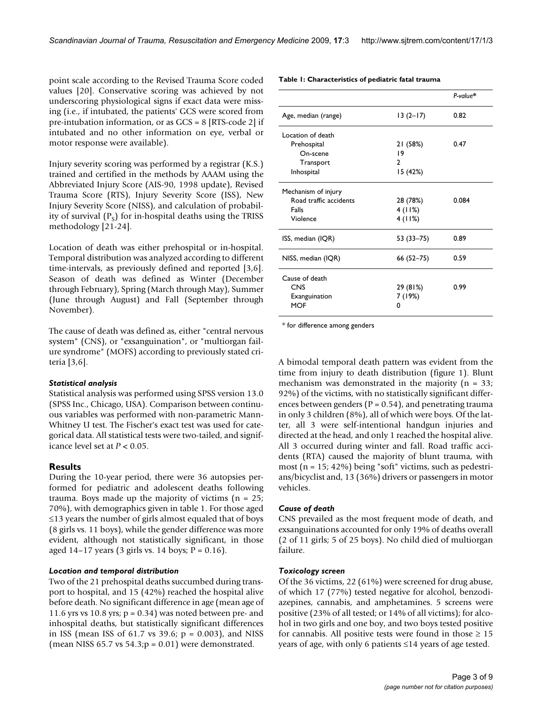point scale according to the Revised Trauma Score coded values [20]. Conservative scoring was achieved by not underscoring physiological signs if exact data were missing (i.e., if intubated, the patients' GCS were scored from pre-intubation information, or as GCS = 8 [RTS-code 2] if intubated and no other information on eye, verbal or motor response were available).

Injury severity scoring was performed by a registrar (K.S.) trained and certified in the methods by AAAM using the Abbreviated Injury Score (AIS-90, 1998 update), Revised Trauma Score (RTS), Injury Severity Score (ISS), New Injury Severity Score (NISS), and calculation of probability of survival  $(P_s)$  for in-hospital deaths using the TRISS methodology [21-24].

Location of death was either prehospital or in-hospital. Temporal distribution was analyzed according to different time-intervals, as previously defined and reported [3,6]. Season of death was defined as Winter (December through February), Spring (March through May), Summer (June through August) and Fall (September through November).

The cause of death was defined as, either "central nervous system" (CNS), or "exsanguination", or "multiorgan failure syndrome" (MOFS) according to previously stated criteria [3,6].

#### *Statistical analysis*

Statistical analysis was performed using SPSS version 13.0 (SPSS Inc., Chicago, USA). Comparison between continuous variables was performed with non-parametric Mann-Whitney U test. The Fischer's exact test was used for categorical data. All statistical tests were two-tailed, and significance level set at *P* < 0.05.

#### **Results**

During the 10-year period, there were 36 autopsies performed for pediatric and adolescent deaths following trauma. Boys made up the majority of victims  $(n = 25)$ ; 70%), with demographics given in table 1. For those aged ≤13 years the number of girls almost equaled that of boys (8 girls vs. 11 boys), while the gender difference was more evident, although not statistically significant, in those aged  $14-17$  years (3 girls vs. 14 boys;  $P = 0.16$ ).

#### *Location and temporal distribution*

Two of the 21 prehospital deaths succumbed during transport to hospital, and 15 (42%) reached the hospital alive before death. No significant difference in age (mean age of 11.6 yrs vs 10.8 yrs;  $p = 0.34$ ) was noted between pre- and inhospital deaths, but statistically significant differences in ISS (mean ISS of 61.7 vs 39.6;  $p = 0.003$ ), and NISS (mean NISS 65.7 vs 54.3; $p = 0.01$ ) were demonstrated.

|                        |               | P-value* |
|------------------------|---------------|----------|
| Age, median (range)    | $13(2-17)$    | 0.82     |
| Location of death      |               |          |
| Prehospital            | 21 (58%)      | 0.47     |
| On-scene               | 19            |          |
| Transport              | $\mathfrak z$ |          |
| Inhospital             | 15 (42%)      |          |
| Mechanism of injury    |               |          |
| Road traffic accidents | 28 (78%)      | 0.084    |
| Falls                  | 4(11%)        |          |
| Violence               | 4(11%)        |          |
| ISS, median (IQR)      | 53 (33–75)    | 0.89     |
| NISS, median (IQR)     | 66 (52–75)    | 0.59     |
| Cause of death         |               |          |
| <b>CNS</b>             | 29 (81%)      | 0.99     |
| Exanguination          | 7 (19%)       |          |
| <b>MOF</b>             | 0             |          |
|                        |               |          |

**Table 1: Characteristics of pediatric fatal trauma**

\* for difference among genders

A bimodal temporal death pattern was evident from the time from injury to death distribution (figure 1). Blunt mechanism was demonstrated in the majority (n = 33; 92%) of the victims, with no statistically significant differences between genders ( $P = 0.54$ ), and penetrating trauma in only 3 children (8%), all of which were boys. Of the latter, all 3 were self-intentional handgun injuries and directed at the head, and only 1 reached the hospital alive. All 3 occurred during winter and fall. Road traffic accidents (RTA) caused the majority of blunt trauma, with most (n = 15; 42%) being "soft" victims, such as pedestrians/bicyclist and, 13 (36%) drivers or passengers in motor vehicles.

#### *Cause of death*

CNS prevailed as the most frequent mode of death, and exsanguinations accounted for only 19% of deaths overall (2 of 11 girls; 5 of 25 boys). No child died of multiorgan failure.

#### *Toxicology screen*

Of the 36 victims, 22 (61%) were screened for drug abuse, of which 17 (77%) tested negative for alcohol, benzodiazepines, cannabis, and amphetamines. 5 screens were positive (23% of all tested; or 14% of all victims); for alcohol in two girls and one boy, and two boys tested positive for cannabis. All positive tests were found in those  $\geq 15$ years of age, with only 6 patients ≤14 years of age tested.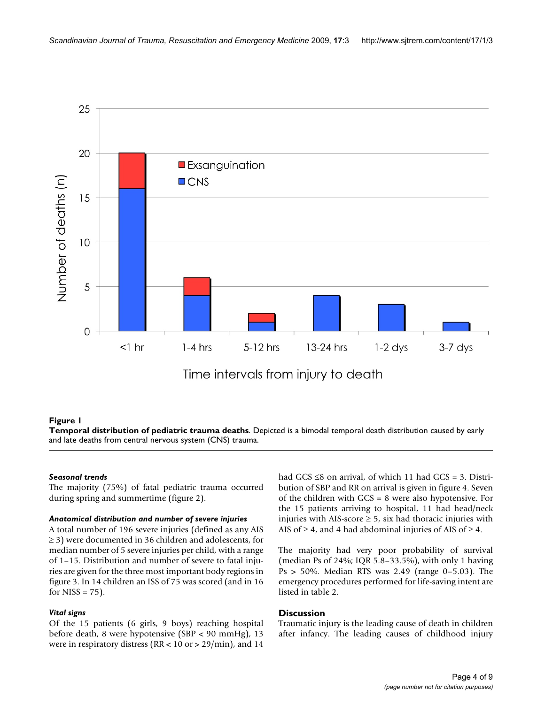

# Figure 1

**Temporal distribution of pediatric trauma deaths**. Depicted is a bimodal temporal death distribution caused by early and late deaths from central nervous system (CNS) trauma.

#### *Seasonal trends*

The majority (75%) of fatal pediatric trauma occurred during spring and summertime (figure 2).

#### *Anatomical distribution and number of severe injuries*

A total number of 196 severe injuries (defined as any AIS ≥ 3) were documented in 36 children and adolescents, for median number of 5 severe injuries per child, with a range of 1–15. Distribution and number of severe to fatal injuries are given for the three most important body regions in figure 3. In 14 children an ISS of 75 was scored (and in 16 for  $NISS = 75$ ).

#### *Vital signs*

Of the 15 patients (6 girls, 9 boys) reaching hospital before death, 8 were hypotensive (SBP < 90 mmHg), 13 were in respiratory distress (RR < 10 or > 29/min), and 14 had GCS  $\leq$ 8 on arrival, of which 11 had GCS = 3. Distribution of SBP and RR on arrival is given in figure 4. Seven of the children with GCS = 8 were also hypotensive. For the 15 patients arriving to hospital, 11 had head/neck injuries with AIS-score  $\geq$  5, six had thoracic injuries with AIS of  $\geq 4$ , and 4 had abdominal injuries of AIS of  $\geq 4$ .

The majority had very poor probability of survival (median Ps of 24%; IQR 5.8–33.5%), with only 1 having  $Ps > 50\%$ . Median RTS was 2.49 (range 0–5.03). The emergency procedures performed for life-saving intent are listed in table 2.

## **Discussion**

Traumatic injury is the leading cause of death in children after infancy. The leading causes of childhood injury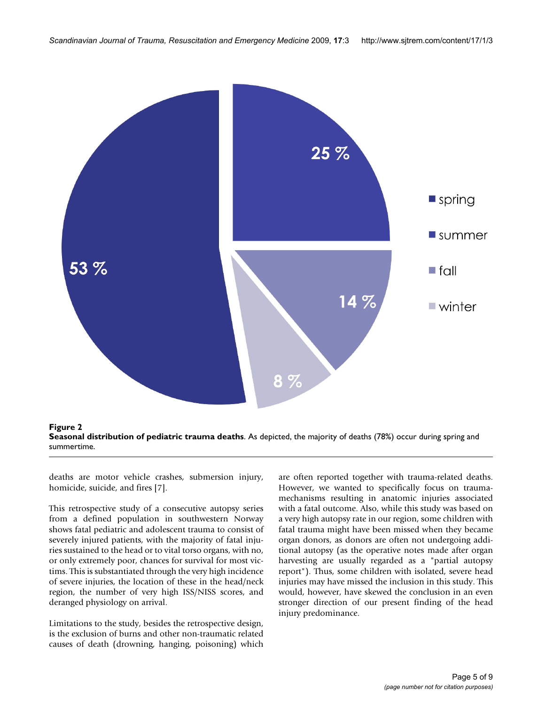



deaths are motor vehicle crashes, submersion injury, homicide, suicide, and fires [7].

This retrospective study of a consecutive autopsy series from a defined population in southwestern Norway shows fatal pediatric and adolescent trauma to consist of severely injured patients, with the majority of fatal injuries sustained to the head or to vital torso organs, with no, or only extremely poor, chances for survival for most victims. This is substantiated through the very high incidence of severe injuries, the location of these in the head/neck region, the number of very high ISS/NISS scores, and deranged physiology on arrival.

Limitations to the study, besides the retrospective design, is the exclusion of burns and other non-traumatic related causes of death (drowning, hanging, poisoning) which are often reported together with trauma-related deaths. However, we wanted to specifically focus on traumamechanisms resulting in anatomic injuries associated with a fatal outcome. Also, while this study was based on a very high autopsy rate in our region, some children with fatal trauma might have been missed when they became organ donors, as donors are often not undergoing additional autopsy (as the operative notes made after organ harvesting are usually regarded as a "partial autopsy report"). Thus, some children with isolated, severe head injuries may have missed the inclusion in this study. This would, however, have skewed the conclusion in an even stronger direction of our present finding of the head injury predominance.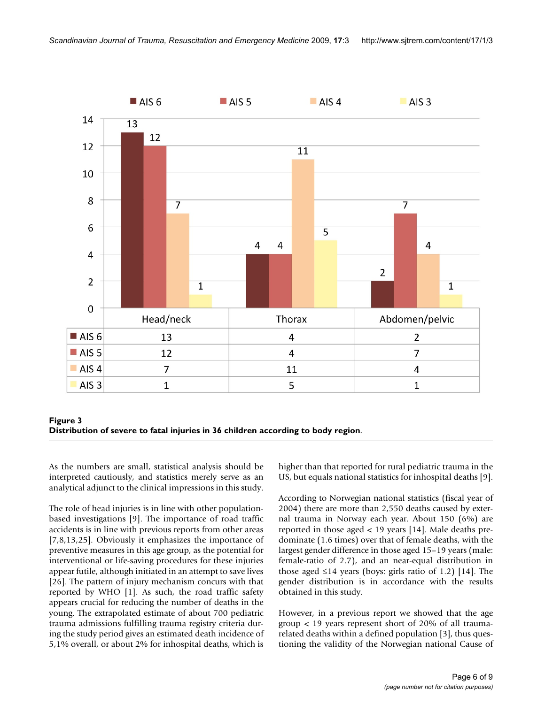

Distribution of severe to fa **Figure 3** tal injuries in 36 children according to body region **Distribution of severe to fatal injuries in 36 children according to body region**.

As the numbers are small, statistical analysis should be interpreted cautiously, and statistics merely serve as an analytical adjunct to the clinical impressions in this study.

The role of head injuries is in line with other populationbased investigations [9]. The importance of road traffic accidents is in line with previous reports from other areas [7,8,13,25]. Obviously it emphasizes the importance of preventive measures in this age group, as the potential for interventional or life-saving procedures for these injuries appear futile, although initiated in an attempt to save lives [26]. The pattern of injury mechanism concurs with that reported by WHO [1]. As such, the road traffic safety appears crucial for reducing the number of deaths in the young. The extrapolated estimate of about 700 pediatric trauma admissions fulfilling trauma registry criteria during the study period gives an estimated death incidence of 5,1% overall, or about 2% for inhospital deaths, which is higher than that reported for rural pediatric trauma in the US, but equals national statistics for inhospital deaths [9].

According to Norwegian national statistics (fiscal year of 2004) there are more than 2,550 deaths caused by external trauma in Norway each year. About 150 (6%) are reported in those aged < 19 years [14]. Male deaths predominate (1.6 times) over that of female deaths, with the largest gender difference in those aged 15–19 years (male: female-ratio of 2.7), and an near-equal distribution in those aged  $\leq$ 14 years (boys: girls ratio of 1.2) [14]. The gender distribution is in accordance with the results obtained in this study.

However, in a previous report we showed that the age group < 19 years represent short of 20% of all traumarelated deaths within a defined population [3], thus questioning the validity of the Norwegian national Cause of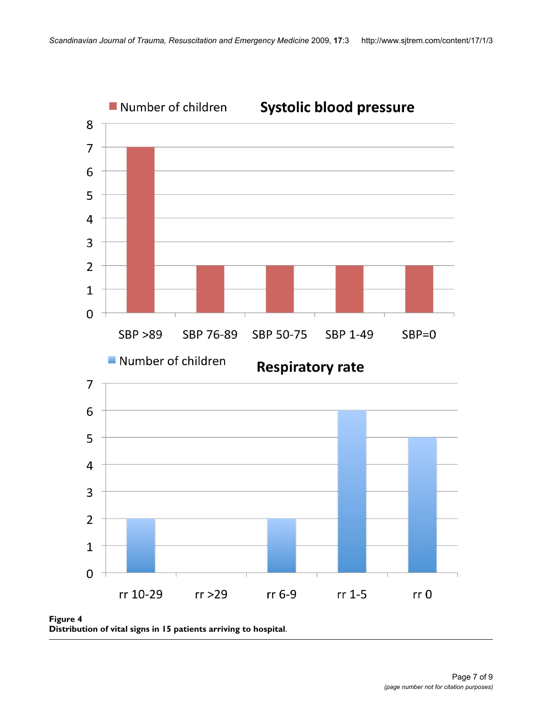

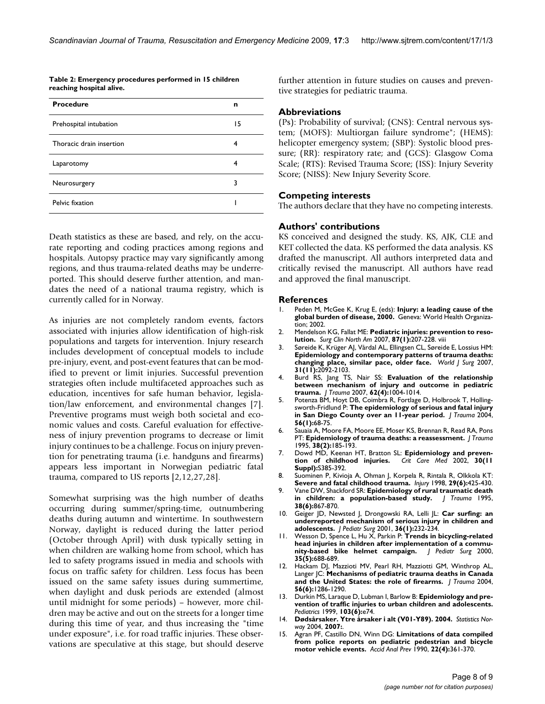#### **Table 2: Emergency procedures performed in 15 children reaching hospital alive.**

| Procedure                | n  |
|--------------------------|----|
| Prehospital intubation   | 15 |
| Thoracic drain insertion | 4  |
| Laparotomy               | 4  |
| Neurosurgery             | 3  |
| Pelvic fixation          |    |

Death statistics as these are based, and rely, on the accurate reporting and coding practices among regions and hospitals. Autopsy practice may vary significantly among regions, and thus trauma-related deaths may be underreported. This should deserve further attention, and mandates the need of a national trauma registry, which is currently called for in Norway.

As injuries are not completely random events, factors associated with injuries allow identification of high-risk populations and targets for intervention. Injury research includes development of conceptual models to include pre-injury, event, and post-event features that can be modified to prevent or limit injuries. Successful prevention strategies often include multifaceted approaches such as education, incentives for safe human behavior, legislation/law enforcement, and environmental changes [7]. Preventive programs must weigh both societal and economic values and costs. Careful evaluation for effectiveness of injury prevention programs to decrease or limit injury continues to be a challenge. Focus on injury prevention for penetrating trauma (i.e. handguns and firearms) appears less important in Norwegian pediatric fatal trauma, compared to US reports [2,12,27,28].

Somewhat surprising was the high number of deaths occurring during summer/spring-time, outnumbering deaths during autumn and wintertime. In southwestern Norway, daylight is reduced during the latter period (October through April) with dusk typically setting in when children are walking home from school, which has led to safety programs issued in media and schools with focus on traffic safety for children. Less focus has been issued on the same safety issues during summertime, when daylight and dusk periods are extended (almost until midnight for some periods) – however, more children may be active and out on the streets for a longer time during this time of year, and thus increasing the "time under exposure", i.e. for road traffic injuries. These observations are speculative at this stage, but should deserve further attention in future studies on causes and preventive strategies for pediatric trauma.

#### **Abbreviations**

(Ps): Probability of survival; (CNS): Central nervous system; (MOFS): Multiorgan failure syndrome"; (HEMS): helicopter emergency system; (SBP): Systolic blood pressure; (RR): respiratory rate; and (GCS): Glasgow Coma Scale; (RTS): Revised Trauma Score; (ISS): Injury Severity Score; (NISS): New Injury Severity Score.

#### **Competing interests**

The authors declare that they have no competing interests.

#### **Authors' contributions**

KS conceived and designed the study. KS, AJK, CLE and KET collected the data. KS performed the data analysis. KS drafted the manuscript. All authors interpreted data and critically revised the manuscript. All authors have read and approved the final manuscript.

#### **References**

- 1. Peden M, McGee K, Krug E, (eds): **Injury: a leading cause of the global burden of disease, 2000.** Geneva: World Health Organization; 2002.
- 2. Mendelson KG, Fallat ME: **[Pediatric injuries: prevention to reso](http://www.ncbi.nlm.nih.gov/entrez/query.fcgi?cmd=Retrieve&db=PubMed&dopt=Abstract&list_uids=17127129)[lution.](http://www.ncbi.nlm.nih.gov/entrez/query.fcgi?cmd=Retrieve&db=PubMed&dopt=Abstract&list_uids=17127129)** *Surg Clin North Am* 2007, **87(1):**207-228. viii
- 3. Søreide K, Krüger AJ, Vårdal AL, Ellingsen CL, Søreide E, Lossius HM: **[Epidemiology and contemporary patterns of trauma deaths:](http://www.ncbi.nlm.nih.gov/entrez/query.fcgi?cmd=Retrieve&db=PubMed&dopt=Abstract&list_uids=17899256) [changing place, similar pace, older face.](http://www.ncbi.nlm.nih.gov/entrez/query.fcgi?cmd=Retrieve&db=PubMed&dopt=Abstract&list_uids=17899256)** *World J Surg* 2007, **31(11):**2092-2103.
- 4. Burd RS, Jang TS, Nair SS: **[Evaluation of the relationship](http://www.ncbi.nlm.nih.gov/entrez/query.fcgi?cmd=Retrieve&db=PubMed&dopt=Abstract&list_uids=17426560) [between mechanism of injury and outcome in pediatric](http://www.ncbi.nlm.nih.gov/entrez/query.fcgi?cmd=Retrieve&db=PubMed&dopt=Abstract&list_uids=17426560) [trauma.](http://www.ncbi.nlm.nih.gov/entrez/query.fcgi?cmd=Retrieve&db=PubMed&dopt=Abstract&list_uids=17426560)** *J Trauma* 2007, **62(4):**1004-1014.
- 5. Potenza BM, Hoyt DB, Coimbra R, Fortlage D, Holbrook T, Hollingsworth-Fridlund P: **[The epidemiology of serious and fatal injury](http://www.ncbi.nlm.nih.gov/entrez/query.fcgi?cmd=Retrieve&db=PubMed&dopt=Abstract&list_uids=14749568) [in San Diego County over an 11-year period.](http://www.ncbi.nlm.nih.gov/entrez/query.fcgi?cmd=Retrieve&db=PubMed&dopt=Abstract&list_uids=14749568)** *J Trauma* 2004, **56(1):**68-75.
- 6. Sauaia A, Moore FA, Moore EE, Moser KS, Brennan R, Read RA, Pons PT: **[Epidemiology of trauma deaths: a reassessment.](http://www.ncbi.nlm.nih.gov/entrez/query.fcgi?cmd=Retrieve&db=PubMed&dopt=Abstract&list_uids=7869433)** *J Trauma* 1995, **38(2):**185-193.
- 7. Dowd MD, Keenan HT, Bratton SL: **[Epidemiology and preven](http://www.ncbi.nlm.nih.gov/entrez/query.fcgi?cmd=Retrieve&db=PubMed&dopt=Abstract&list_uids=12528779)** $t$ ion of childhood injuries. **Suppl):**S385-392.
- 8. Suominen P, Kivioja A, Ohman J, Korpela R, Rintala R, Olkkola KT: **[Severe and fatal childhood trauma.](http://www.ncbi.nlm.nih.gov/entrez/query.fcgi?cmd=Retrieve&db=PubMed&dopt=Abstract&list_uids=9813697)** *Injury* 1998, **29(6):**425-430.
- 9. Vane DW, Shackford SR: **[Epidemiology of rural traumatic death](http://www.ncbi.nlm.nih.gov/entrez/query.fcgi?cmd=Retrieve&db=PubMed&dopt=Abstract&list_uids=7602625) [in children: a population-based study.](http://www.ncbi.nlm.nih.gov/entrez/query.fcgi?cmd=Retrieve&db=PubMed&dopt=Abstract&list_uids=7602625)** *J Trauma* 1995, **38(6):**867-870.
- 10. Geiger JD, Newsted J, Drongowski RA, Lelli JL: **[Car surfing: an](http://www.ncbi.nlm.nih.gov/entrez/query.fcgi?cmd=Retrieve&db=PubMed&dopt=Abstract&list_uids=11150472) [underreported mechanism of serious injury in children and](http://www.ncbi.nlm.nih.gov/entrez/query.fcgi?cmd=Retrieve&db=PubMed&dopt=Abstract&list_uids=11150472) [adolescents.](http://www.ncbi.nlm.nih.gov/entrez/query.fcgi?cmd=Retrieve&db=PubMed&dopt=Abstract&list_uids=11150472)** *J Pediatr Surg* 2001, **36(1):**232-234.
- 11. Wesson D, Spence L, Hu X, Parkin P: **[Trends in bicycling-related](http://www.ncbi.nlm.nih.gov/entrez/query.fcgi?cmd=Retrieve&db=PubMed&dopt=Abstract&list_uids=10813324) [head injuries in children after implementation of a commu](http://www.ncbi.nlm.nih.gov/entrez/query.fcgi?cmd=Retrieve&db=PubMed&dopt=Abstract&list_uids=10813324)[nity-based bike helmet campaign.](http://www.ncbi.nlm.nih.gov/entrez/query.fcgi?cmd=Retrieve&db=PubMed&dopt=Abstract&list_uids=10813324)** *J Pediatr Surg* 2000, **35(5):**688-689.
- 12. Hackam DJ, Mazzioti MV, Pearl RH, Mazziotti GM, Winthrop AL, Langer JC: **[Mechanisms of pediatric trauma deaths in Canada](http://www.ncbi.nlm.nih.gov/entrez/query.fcgi?cmd=Retrieve&db=PubMed&dopt=Abstract&list_uids=15211138) [and the United States: the role of firearms.](http://www.ncbi.nlm.nih.gov/entrez/query.fcgi?cmd=Retrieve&db=PubMed&dopt=Abstract&list_uids=15211138)** *J Trauma* 2004, **56(6):**1286-1290.
- 13. Durkin MS, Laraque D, Lubman I, Barlow B: **[Epidemiology and pre](http://www.ncbi.nlm.nih.gov/entrez/query.fcgi?cmd=Retrieve&db=PubMed&dopt=Abstract&list_uids=10353971)[vention of traffic injuries to urban children and adolescents.](http://www.ncbi.nlm.nih.gov/entrez/query.fcgi?cmd=Retrieve&db=PubMed&dopt=Abstract&list_uids=10353971)** *Pediatrics* 1999, **103(6):**e74.
- 14. **Dødsårsaker. Ytre årsaker i alt (V01-Y89). 2004.** *Statistics Norway* 2004, **2007:**.
- 15. Agran PF, Castillo DN, Winn DG: **[Limitations of data compiled](http://www.ncbi.nlm.nih.gov/entrez/query.fcgi?cmd=Retrieve&db=PubMed&dopt=Abstract&list_uids=2222701) [from police reports on pediatric pedestrian and bicycle](http://www.ncbi.nlm.nih.gov/entrez/query.fcgi?cmd=Retrieve&db=PubMed&dopt=Abstract&list_uids=2222701) [motor vehicle events.](http://www.ncbi.nlm.nih.gov/entrez/query.fcgi?cmd=Retrieve&db=PubMed&dopt=Abstract&list_uids=2222701)** *Accid Anal Prev* 1990, **22(4):**361-370.